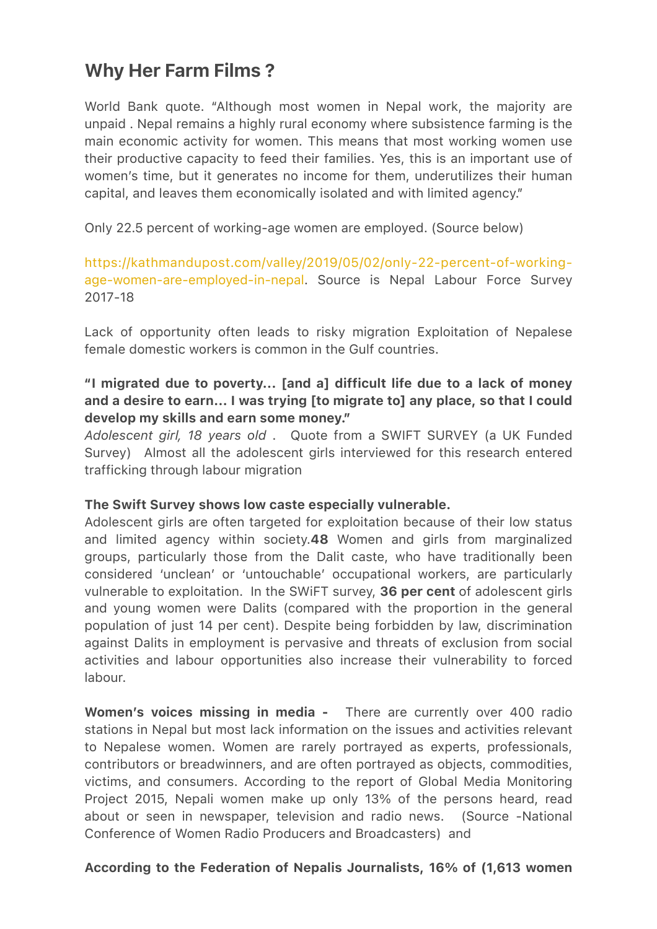# Why Her Farm Films ?

World Bank quote. "Although most women in Nepal work, the majority are unpaid . Nepal remains a highly rural economy where subsistence farming is the main economic activity for women. This means that most working women use their productive capacity to feed their families. Yes, this is an important use of women's time, but it generates no income for them, underutilizes their human capital, and leaves them economically isolated and with limited agency."

Only 22.5 percent of working-age women are employed. (Source below)

[https://kathmandupost.com/valley/2019/05/02/only-22-percent-of-working](https://kathmandupost.com/valley/2019/05/02/only-22-percent-of-working-age-women-are-employed-in-nepal)[age-women-are-employed-in-nepal.](https://kathmandupost.com/valley/2019/05/02/only-22-percent-of-working-age-women-are-employed-in-nepal) Source is Nepal Labour Force Survey 2017-18

Lack of opportunity often leads to risky migration Exploitation of Nepalese female domestic workers is common in the Gulf countries.

## "I migrated due to poverty... [and a] difficult life due to a lack of money and a desire to earn... I was trying [to migrate to] any place, so that I could develop my skills and earn some money."

*Adolescent girl, 18 years old* . Quote from a SWIFT SURVEY (a UK Funded Survey) Almost all the adolescent girls interviewed for this research entered trafficking through labour migration

### The Swift Survey shows low caste especially vulnerable.

Adolescent girls are often targeted for exploitation because of their low status and limited agency within society.48 Women and girls from marginalized groups, particularly those from the Dalit caste, who have traditionally been considered 'unclean' or 'untouchable' occupational workers, are particularly vulnerable to exploitation. In the SWIFT survey, 36 per cent of adolescent girls and young women were Dalits (compared with the proportion in the general population of just 14 per cent). Despite being forbidden by law, discrimination against Dalits in employment is pervasive and threats of exclusion from social activities and labour opportunities also increase their vulnerability to forced labour.

Women's voices missing in media - There are currently over 400 radio stations in Nepal but most lack information on the issues and activities relevant to Nepalese women. Women are rarely portrayed as experts, professionals, contributors or breadwinners, and are often portrayed as objects, commodities, victims, and consumers. According to the report of Global Media Monitoring Project 2015, Nepali women make up only 13% of the persons heard, read about or seen in newspaper, television and radio news. (Source -National Conference of Women Radio Producers and Broadcasters) and

### According to the Federation of Nepalis Journalists, 16% of (1,613 women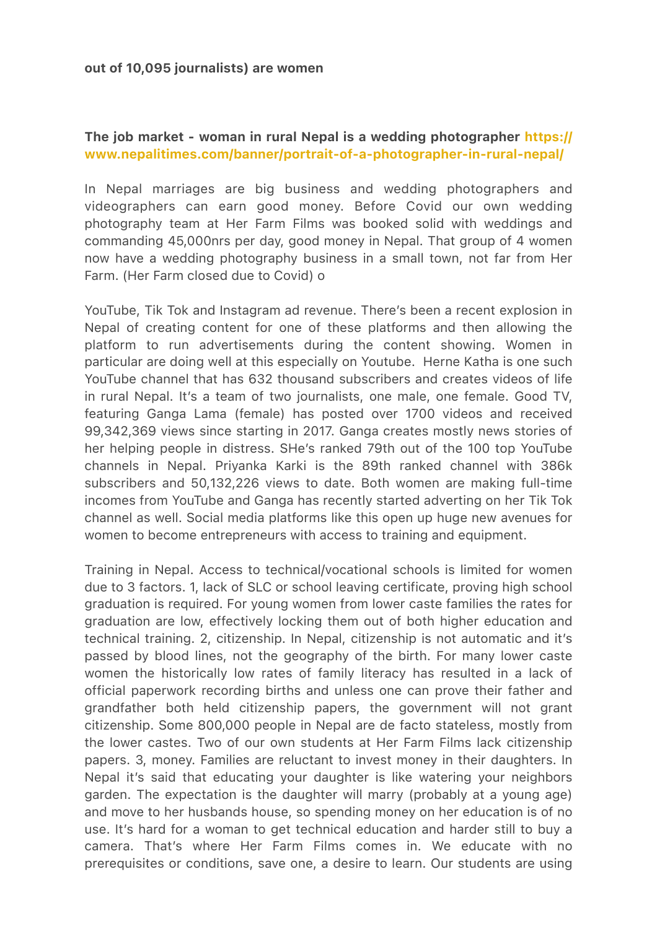### The job market - woman in rural Nepal is a wedding photographer [https://](https://www.nepalitimes.com/banner/portrait-of-a-photographer-in-rural-nepal/) [www.nepalitimes.com/banner/portrait-of-a-photographer-in-rural-nepal/](https://www.nepalitimes.com/banner/portrait-of-a-photographer-in-rural-nepal/)

In Nepal marriages are big business and wedding photographers and videographers can earn good money. Before Covid our own wedding photography team at Her Farm Films was booked solid with weddings and commanding 45,000nrs per day, good money in Nepal. That group of 4 women now have a wedding photography business in a small town, not far from Her Farm. (Her Farm closed due to Covid) o

YouTube, Tik Tok and Instagram ad revenue. There's been a recent explosion in Nepal of creating content for one of these platforms and then allowing the platform to run advertisements during the content showing. Women in particular are doing well at this especially on Youtube. Herne Katha is one such YouTube channel that has 632 thousand subscribers and creates videos of life in rural Nepal. It's a team of two journalists, one male, one female. Good TV, featuring Ganga Lama (female) has posted over 1700 videos and received 99,342,369 views since starting in 2017. Ganga creates mostly news stories of her helping people in distress. SHe's ranked 79th out of the 100 top YouTube channels in Nepal. Priyanka Karki is the 89th ranked channel with 386k subscribers and 50,132,226 views to date. Both women are making full-time incomes from YouTube and Ganga has recently started adverting on her Tik Tok channel as well. Social media platforms like this open up huge new avenues for women to become entrepreneurs with access to training and equipment.

Training in Nepal. Access to technical/vocational schools is limited for women due to 3 factors. 1, lack of SLC or school leaving certificate, proving high school graduation is required. For young women from lower caste families the rates for graduation are low, effectively locking them out of both higher education and technical training. 2, citizenship. In Nepal, citizenship is not automatic and it's passed by blood lines, not the geography of the birth. For many lower caste women the historically low rates of family literacy has resulted in a lack of official paperwork recording births and unless one can prove their father and grandfather both held citizenship papers, the government will not grant citizenship. Some 800,000 people in Nepal are de facto stateless, mostly from the lower castes. Two of our own students at Her Farm Films lack citizenship papers. 3, money. Families are reluctant to invest money in their daughters. In Nepal it's said that educating your daughter is like watering your neighbors garden. The expectation is the daughter will marry (probably at a young age) and move to her husbands house, so spending money on her education is of no use. It's hard for a woman to get technical education and harder still to buy a camera. That's where Her Farm Films comes in. We educate with no prerequisites or conditions, save one, a desire to learn. Our students are using